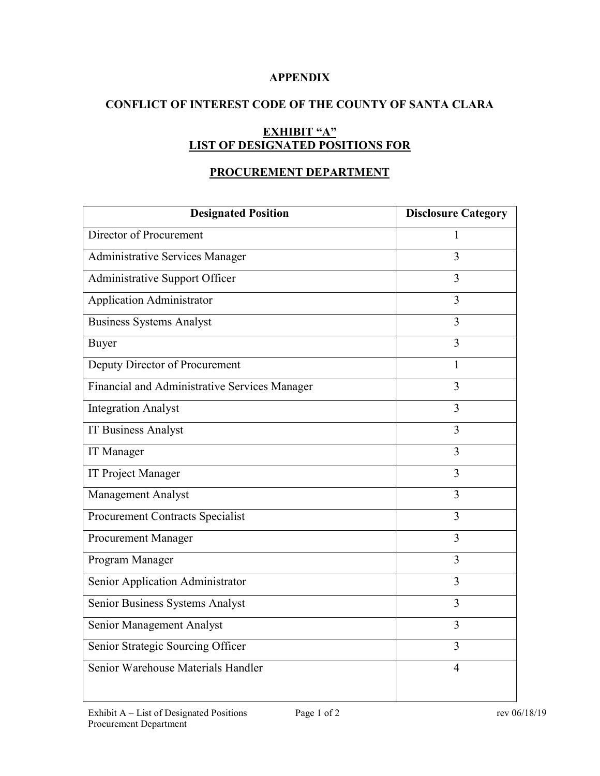## **APPENDIX**

## **CONFLICT OF INTEREST CODE OF THE COUNTY OF SANTA CLARA**

# **EXHIBIT "A" LIST OF DESIGNATED POSITIONS FOR**

## **PROCUREMENT DEPARTMENT**

| <b>Designated Position</b>                    | <b>Disclosure Category</b> |
|-----------------------------------------------|----------------------------|
| Director of Procurement                       | 1                          |
| <b>Administrative Services Manager</b>        | $\overline{3}$             |
| Administrative Support Officer                | 3                          |
| <b>Application Administrator</b>              | 3                          |
| <b>Business Systems Analyst</b>               | 3                          |
| Buyer                                         | 3                          |
| Deputy Director of Procurement                | 1                          |
| Financial and Administrative Services Manager | 3                          |
| <b>Integration Analyst</b>                    | $\overline{3}$             |
| <b>IT Business Analyst</b>                    | 3                          |
| IT Manager                                    | 3                          |
| IT Project Manager                            | $\overline{3}$             |
| Management Analyst                            | $\overline{3}$             |
| Procurement Contracts Specialist              | 3                          |
| Procurement Manager                           | 3                          |
| Program Manager                               | $\overline{3}$             |
| Senior Application Administrator              | 3                          |
| Senior Business Systems Analyst               | $\overline{3}$             |
| Senior Management Analyst                     | 3                          |
| Senior Strategic Sourcing Officer             | 3                          |
| Senior Warehouse Materials Handler            | $\overline{4}$             |
|                                               |                            |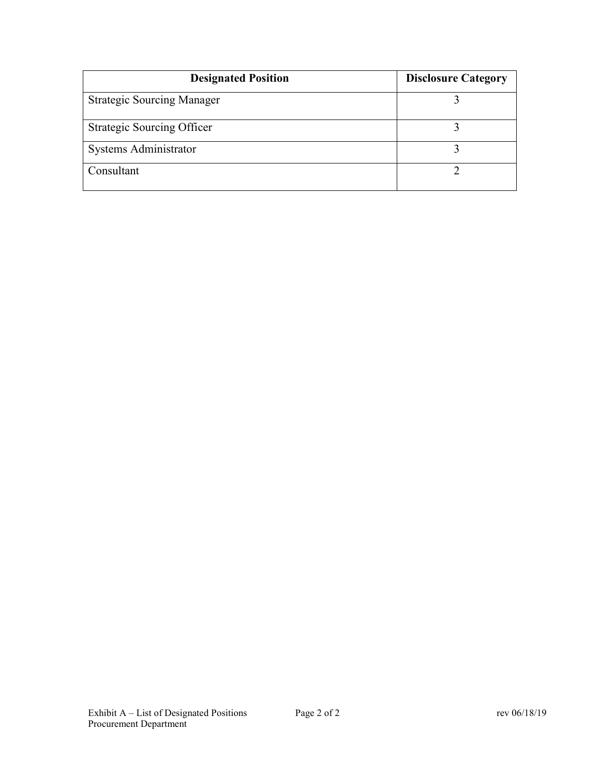| <b>Designated Position</b>        | <b>Disclosure Category</b> |
|-----------------------------------|----------------------------|
| <b>Strategic Sourcing Manager</b> |                            |
| <b>Strategic Sourcing Officer</b> |                            |
| Systems Administrator             |                            |
| Consultant                        |                            |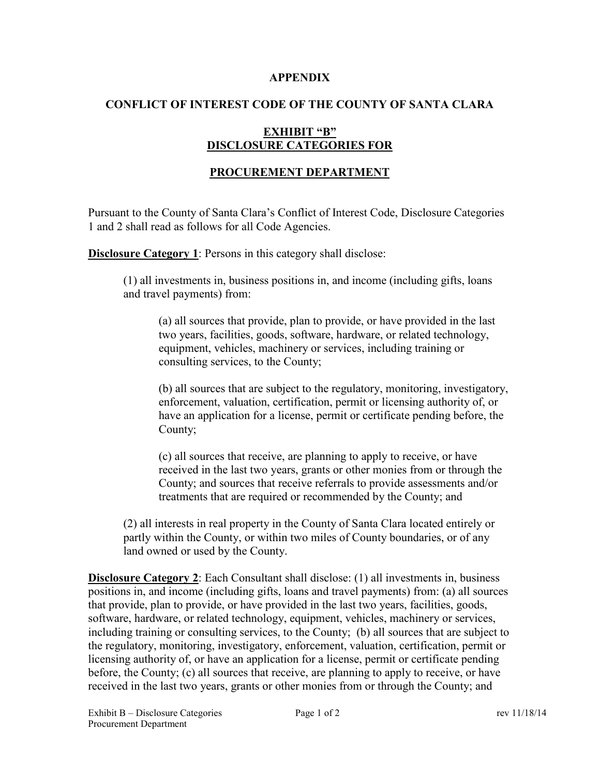#### **APPENDIX**

## **CONFLICT OF INTEREST CODE OF THE COUNTY OF SANTA CLARA**

## **EXHIBIT "B" DISCLOSURE CATEGORIES FOR**

## **PROCUREMENT DEPARTMENT**

Pursuant to the County of Santa Clara's Conflict of Interest Code, Disclosure Categories 1 and 2 shall read as follows for all Code Agencies.

**Disclosure Category 1:** Persons in this category shall disclose:

(1) all investments in, business positions in, and income (including gifts, loans and travel payments) from:

(a) all sources that provide, plan to provide, or have provided in the last two years, facilities, goods, software, hardware, or related technology, equipment, vehicles, machinery or services, including training or consulting services, to the County;

(b) all sources that are subject to the regulatory, monitoring, investigatory, enforcement, valuation, certification, permit or licensing authority of, or have an application for a license, permit or certificate pending before, the County;

(c) all sources that receive, are planning to apply to receive, or have received in the last two years, grants or other monies from or through the County; and sources that receive referrals to provide assessments and/or treatments that are required or recommended by the County; and

(2) all interests in real property in the County of Santa Clara located entirely or partly within the County, or within two miles of County boundaries, or of any land owned or used by the County.

**Disclosure Category 2**: Each Consultant shall disclose: (1) all investments in, business positions in, and income (including gifts, loans and travel payments) from: (a) all sources that provide, plan to provide, or have provided in the last two years, facilities, goods, software, hardware, or related technology, equipment, vehicles, machinery or services, including training or consulting services, to the County; (b) all sources that are subject to the regulatory, monitoring, investigatory, enforcement, valuation, certification, permit or licensing authority of, or have an application for a license, permit or certificate pending before, the County; (c) all sources that receive, are planning to apply to receive, or have received in the last two years, grants or other monies from or through the County; and